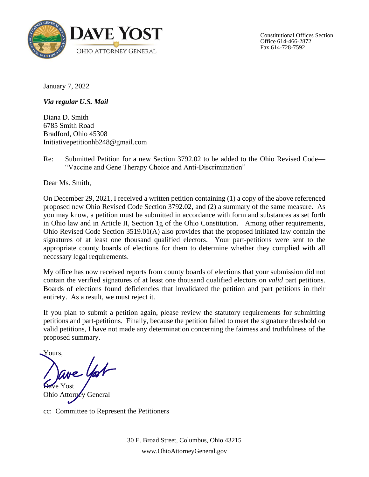

Constitutional Offices Section Office 614-466-2872 Fax 614-728-7592

January 7, 2022

*Via regular U.S. Mail* 

Diana D. Smith 6785 Smith Road Bradford, Ohio 45308 Initiativepetitionhb248@gmail.com

Re: Submitted Petition for a new Section 3792.02 to be added to the Ohio Revised Code— "Vaccine and Gene Therapy Choice and Anti-Discrimination"

Dear Ms. Smith,

On December 29, 2021, I received a written petition containing (1) a copy of the above referenced proposed new Ohio Revised Code Section 3792.02, and (2) a summary of the same measure. As you may know, a petition must be submitted in accordance with form and substances as set forth in Ohio law and in Article II, Section 1g of the Ohio Constitution. Among other requirements, Ohio Revised Code Section 3519.01(A) also provides that the proposed initiated law contain the signatures of at least one thousand qualified electors. Your part-petitions were sent to the appropriate county boards of elections for them to determine whether they complied with all necessary legal requirements.

My office has now received reports from county boards of elections that your submission did not contain the verified signatures of at least one thousand qualified electors on *valid* part petitions. Boards of elections found deficiencies that invalidated the petition and part petitions in their entirety. As a result, we must reject it.

If you plan to submit a petition again, please review the statutory requirements for submitting petitions and part-petitions. Finally, because the petition failed to meet the signature threshold on valid petitions, I have not made any determination concerning the fairness and truthfulness of the proposed summary.

Yours,

we York **Dave Yost** 

Ohio Attorney General

cc: Committee to Represent the Petitioners